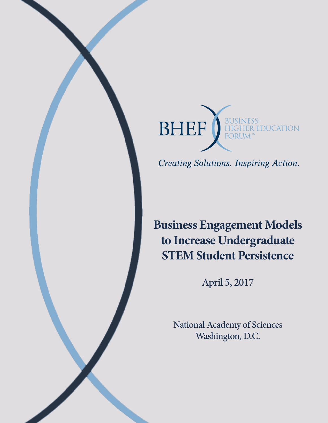

Creating Solutions. Inspiring Action.

# **Business Engagement Models to Increase Undergraduate STEM Student Persistence**

April 5, 2017

National Academy of Sciences Washington, D.C.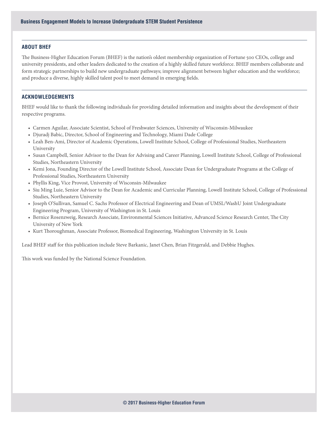## **ABOUT BHEF**

The Business-Higher Education Forum (BHEF) is the nation's oldest membership organization of Fortune 500 CEOs, college and university presidents, and other leaders dedicated to the creation of a highly skilled future workforce. BHEF members collaborate and form strategic partnerships to build new undergraduate pathways; improve alignment between higher education and the workforce; and produce a diverse, highly skilled talent pool to meet demand in emerging fields.

## **ACKNOWLEDGEMENTS**

BHEF would like to thank the following individuals for providing detailed information and insights about the development of their respective programs.

- Carmen Aguilar, Associate Scientist, School of Freshwater Sciences, University of Wisconsin-Milwaukee
- Djuradj Babic, Director, School of Engineering and Technology, Miami Dade College
- Leah Ben-Ami, Director of Academic Operations, Lowell Institute School, College of Professional Studies, Northeastern University
- Susan Campbell, Senior Advisor to the Dean for Advising and Career Planning, Lowell Institute School, College of Professional Studies, Northeastern University
- Kemi Jona, Founding Director of the Lowell Institute School, Associate Dean for Undergraduate Programs at the College of Professional Studies, Northeastern University
- Phyllis King, Vice Provost, University of Wisconsin-Milwaukee
- Siu Ming Luie, Senior Advisor to the Dean for Academic and Curricular Planning, Lowell Institute School, College of Professional Studies, Northeastern University
- Joseph O'Sullivan, Samuel C. Sachs Professor of Electrical Engineering and Dean of UMSL/WashU Joint Undergraduate Engineering Program, University of Washington in St. Louis
- Bernice Rosenzweig, Research Associate, Environmental Sciences Initiative, Advanced Science Research Center, The City University of New York
- Kurt Thoroughman, Associate Professor, Biomedical Engineering, Washington University in St. Louis

Lead BHEF staff for this publication include Steve Barkanic, Janet Chen, Brian Fitzgerald, and Debbie Hughes.

This work was funded by the National Science Foundation.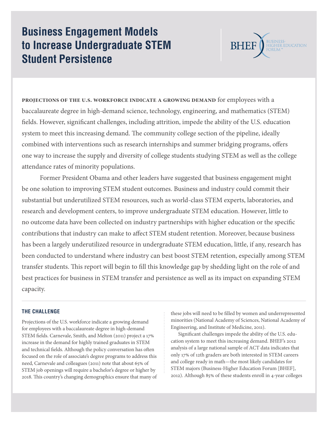## **Business Engagement Models to Increase Undergraduate STEM Student Persistence**



**projections of the u.s. workforce indicate a growing demand** for employees with a baccalaureate degree in high-demand science, technology, engineering, and mathematics (STEM) fields. However, significant challenges, including attrition, impede the ability of the U.S. education system to meet this increasing demand. The community college section of the pipeline, ideally combined with interventions such as research internships and summer bridging programs, offers one way to increase the supply and diversity of college students studying STEM as well as the college attendance rates of minority populations.

Former President Obama and other leaders have suggested that business engagement might be one solution to improving STEM student outcomes. Business and industry could commit their substantial but underutilized STEM resources, such as world-class STEM experts, laboratories, and research and development centers, to improve undergraduate STEM education. However, little to no outcome data have been collected on industry partnerships with higher education or the specific contributions that industry can make to affect STEM student retention. Moreover, because business has been a largely underutilized resource in undergraduate STEM education, little, if any, research has been conducted to understand where industry can best boost STEM retention, especially among STEM transfer students. This report will begin to fill this knowledge gap by shedding light on the role of and best practices for business in STEM transfer and persistence as well as its impact on expanding STEM capacity.

## **THE CHALLENGE**

Projections of the U.S. workforce indicate a growing demand for employees with a baccalaureate degree in high-demand STEM fields. Carnevale, Smith, and Melton (2011) project a 17% increase in the demand for highly trained graduates in STEM and technical fields. Although the policy conversation has often focused on the role of associate's degree programs to address this need, Carnevale and colleagues (2011) note that about 65% of STEM job openings will require a bachelor's degree or higher by 2018. This country's changing demographics ensure that many of these jobs will need to be filled by women and underrepresented minorities (National Academy of Sciences, National Academy of Engineering, and Institute of Medicine, 2011).

Significant challenges impede the ability of the U.S. education system to meet this increasing demand. BHEF's 2012 analysis of a large national sample of ACT data indicates that only 17% of 12th graders are both interested in STEM careers and college ready in math—the most likely candidates for STEM majors (Business-Higher Education Forum [BHEF], 2012). Although 85% of these students enroll in 4-year colleges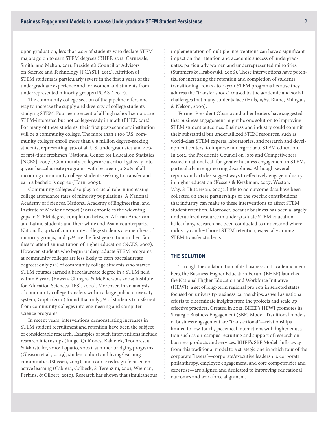upon graduation, less than 40% of students who declare STEM majors go on to earn STEM degrees (BHEF, 2012; Carnevale, Smith, and Melton, 2011; President's Council of Advisors on Science and Technology [PCAST], 2012). Attrition of STEM students is particularly severe in the first 2 years of the undergraduate experience and for women and students from underrepresented minority groups (PCAST, 2012).

The community college section of the pipeline offers one way to increase the supply and diversity of college students studying STEM. Fourteen percent of all high school seniors are STEM-interested but not college-ready in math (BHEF, 2012). For many of these students, their first postsecondary institution will be a community college. The more than 1,100 U.S. community colleges enroll more than 6.8 million degree-seeking students, representing 43% of all U.S. undergraduates and 40% of first-time freshmen (National Center for Education Statistics [NCES], 2007). Community colleges are a critical gateway into 4-year baccalaureate programs, with between 50-80% of all incoming community college students seeking to transfer and earn a bachelor's degree (Horn, 2009).

Community colleges also play a crucial role in increasing college attendance rates of minority populations. A National Academy of Sciences, National Academy of Engineering, and Institute of Medicine report (2011) chronicles the widening gaps in STEM degree completion between African American and Latino students and their white and Asian counterparts. Nationally, 40% of community college students are members of minority groups, and 42% are the first generation in their families to attend an institution of higher education (NCES, 2007). However, students who begin undergraduate STEM programs at community colleges are less likely to earn baccalaureate degrees: only 7.3% of community college students who started STEM courses earned a baccalaureate degree in a STEM field within 6 years (Bowen, Chingos, & McPherson, 2009; Institute for Education Sciences [IES], 2009). Moreover, in an analysis of community college transfers within a large public university system, Gupta (2010) found that only 3% of students transferred from community colleges into engineering and computer science programs.

In recent years, interventions demonstrating increases in STEM student recruitment and retention have been the subject of considerable research. Examples of such interventions include research internships (Junge, Quiñones, Kakietek, Teodorescu, & Marsteller, 2010; Lopatto, 2007), summer bridging programs (Gleason et al., 2009), student cohort and living/learning communities (Stassen, 2003), and course redesign focused on active learning (Cabrera, Colbeck, & Terenzini, 2001; Wieman, Perkins, & Gilbert, 2010). Research has shown that simultaneous

implementation of multiple interventions can have a significant impact on the retention and academic success of undergraduates, particularly women and underrepresented minorities (Summers & Hrabowski, 2006). These interventions have potential for increasing the retention and completion of students transitioning from 2- to 4-year STEM programs because they address the "transfer shock" caused by the academic and social challenges that many students face (Hills, 1965; Rhine, Milligan, & Nelson, 2000).

Former President Obama and other leaders have suggested that business engagement might be one solution to improving STEM student outcomes. Business and industry could commit their substantial but underutilized STEM resources, such as world-class STEM experts, laboratories, and research and development centers, to improve undergraduate STEM education. In 2012, the President's Council on Jobs and Competiveness issued a national call for greater business engagement in STEM, particularly in engineering disciplines. Although several reports and articles suggest ways to effectively engage industry in higher education (Kessels & Kwakman, 2007; Weston, Way, & Hutcheson, 2003), little to no outcome data have been collected on these partnerships or the specific contributions that industry can make to these interventions to affect STEM student retention. Moreover, because business has been a largely underutilized resource in undergraduate STEM education, little, if any, research has been conducted to understand where industry can best boost STEM retention, especially among STEM transfer students.

## **THE SOLUTION**

Through the collaboration of its business and academic members, the Business-Higher Education Forum (BHEF) launched the National Higher Education and Workforce Initiative (HEWI), a set of long-term regional projects in selected states focused on university-business partnerships, as well as national efforts to disseminate insights from the projects and scale up effective practices. Created in 2012, BHEF's HEWI promotes its Strategic Business Engagement (SBE) Model. Traditional models of business engagement are "transactional"—relationships limited to low-touch, piecemeal interactions with higher education such as on-campus recruiting and support of research on business products and services. BHEF's SBE Model shifts away from this traditional model to a strategic one in which four of the corporate "levers"—corporate/executive leadership, corporate philanthropy, employee engagement, and core competencies and expertise—are aligned and dedicated to improving educational outcomes and workforce alignment.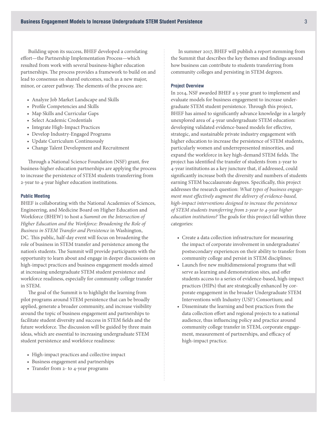Building upon its success, BHEF developed a correlating effort—the Partnership Implementation Process—which resulted from work with several business-higher education partnerships. The process provides a framework to build on and lead to consensus on shared outcomes, such as a new major, minor, or career pathway. The elements of the process are:

- Analyze Job Market Landscape and Skills
- Profile Competencies and Skills
- Map Skills and Curricular Gaps
- Select Academic Credentials
- Integrate High-Impact Practices
- Develop Industry-Engaged Programs
- Update Curriculum Continuously
- Change Talent Development and Recruitment

Through a National Science Foundation (NSF) grant, five business-higher education partnerships are applying the process to increase the persistence of STEM students transferring from 2-year to 4-year higher education institutions.

#### **Public Meeting**

BHEF is collaborating with the National Academies of Sciences, Engineering, and Medicine Board on Higher Education and Workforce (BHEW) to host a *Summit on the Intersection of Higher Education and the Workforce: Broadening the Role of Business in STEM Transfer and Persistence* in Washington, DC. This public, half-day event will focus on broadening the role of business in STEM transfer and persistence among the nation's students. The Summit will provide participants with the opportunity to learn about and engage in deeper discussions on high-impact practices and business engagement models aimed at increasing undergraduate STEM student persistence and workforce readiness, especially for community college transfer in STEM.

The goal of the Summit is to highlight the learning from pilot programs around STEM persistence that can be broadly applied, generate a broader community, and increase visibility around the topic of business engagement and partnerships to facilitate student diversity and success in STEM fields and the future workforce. The discussion will be guided by three main ideas, which are essential to increasing undergraduate STEM student persistence and workforce readiness:

- High-impact practices and collective impact
- Business engagement and partnerships
- Transfer from 2- to 4-year programs

In summer 2017, BHEF will publish a report stemming from the Summit that describes the key themes and findings around how business can contribute to students transferring from community colleges and persisting in STEM degrees.

#### **Project Overview**

In 2014, NSF awarded BHEF a 5-year grant to implement and evaluate models for business engagement to increase undergraduate STEM student persistence. Through this project, BHEF has aimed to significantly advance knowledge in a largely unexplored area of 4-year undergraduate STEM education: developing validated evidence-based models for effective, strategic, and sustainable private industry engagement with higher education to increase the persistence of STEM students, particularly women and underrepresented minorities, and expand the workforce in key high-demand STEM fields. The project has identified the transfer of students from 2-year to 4-year institutions as a key juncture that, if addressed, could significantly increase both the diversity and numbers of students earning STEM baccalaureate degrees. Specifically, this project addresses the research question: *What types of business engagement most effectively augment the delivery of evidence-based, high-impact interventions designed to increase the persistence of STEM students transferring from 2-year to 4-year higher education institutions?* The goals for this project fall within three categories:

- Create a data collection infrastructure for measuring the impact of corporate involvement in undergraduates' postsecondary experiences on their ability to transfer from community college and persist in STEM disciplines;
- Launch five new multidimensional programs that will serve as learning and demonstration sites, and offer students access to a series of evidence-based, high-impact practices (HIPs) that are strategically enhanced by corporate engagement in the broader Undergraduate STEM Interventions with Industry (USI<sup>2</sup>) Consortium; and
- Disseminate the learning and best practices from the data collection effort and regional projects to a national audience, thus influencing policy and practice around community college transfer in STEM, corporate engagement, measurement of partnerships, and efficacy of high-impact practice.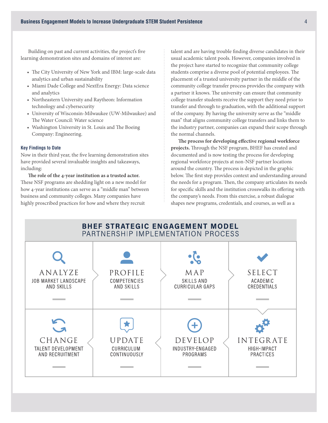Building on past and current activities, the project's five learning demonstration sites and domains of interest are:

- The City University of New York and IBM: large-scale data analytics and urban sustainability
- Miami Dade College and NextEra Energy: Data science and analytics
- Northeastern University and Raytheon: Information technology and cybersecurity
- University of Wisconsin-Milwaukee (UW-Milwaukee) and The Water Council: Water science
- Washington University in St. Louis and The Boeing Company: Engineering.

#### **Key Findings to Date**

Now in their third year, the five learning demonstration sites have provided several invaluable insights and takeaways, including:

**The role of the 4-year institution as a trusted actor.**  These NSF programs are shedding light on a new model for how 4-year institutions can serve as a "middle man" between business and community colleges. Many companies have highly proscribed practices for how and where they recruit

talent and are having trouble finding diverse candidates in their usual academic talent pools. However, companies involved in the project have started to recognize that community college students comprise a diverse pool of potential employees. The placement of a trusted university partner in the middle of the community college transfer process provides the company with a partner it knows. The university can ensure that community college transfer students receive the support they need prior to transfer and through to graduation, with the additional support of the company. By having the university serve as the "middle man" that aligns community college transfers and links them to the industry partner, companies can expand their scope through the normal channels.

**The process for developing effective regional workforce projects.** Through the NSF program, BHEF has created and documented and is now testing the process for developing regional workforce projects at non-NSF partner locations around the country. The process is depicted in the graphic below. The first step provides context and understanding around the needs for a program. Then, the company articulates its needs for specific skills and the institution crosswalks its offering with the company's needs. From this exercise, a robust dialogue shapes new programs, credentials, and courses, as well as a

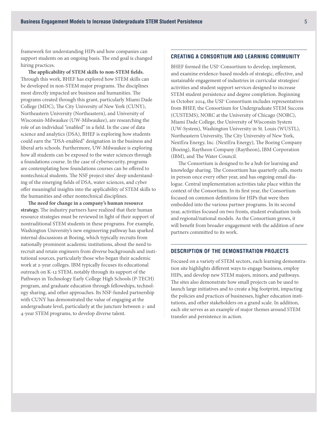framework for understanding HIPs and how companies can support students on an ongoing basis. The end goal is changed hiring practices.

**The applicability of STEM skills to non-STEM fields.**  Through this work, BHEF has explored how STEM skills can be developed in non-STEM major programs. The disciplines most directly impacted are business and humanities. The programs created through this grant, particularly Miami Dade College (MDC), The City University of New York (CUNY), Northeastern University (Northeastern), and University of Wisconsin-Milwaukee (UW-Milwaukee), are researching the role of an individual "enabled" in a field. In the case of data science and analytics (DSA), BHEF is exploring how students could earn the "DSA-enabled" designation in the business and liberal arts schools. Furthermore, UW-Milwaukee is exploring how all students can be exposed to the water sciences through a foundations course. In the case of cybersecurity, programs are contemplating how foundations courses can be offered to nontechnical students. The NSF project sites' deep understanding of the emerging fields of DSA, water sciences, and cyber offer meaningful insights into the applicability of STEM skills to the humanities and other nontechnical disciplines.

**The need for change in a company's human resource strategy.** The industry partners have realized that their human resource strategies must be reviewed in light of their support of nontraditional STEM students in these programs. For example, Washington University's new engineering pathway has sparked internal discussions at Boeing, which typically recruits from nationally prominent academic institutions, about the need to recruit and retain engineers from diverse backgrounds and institutional sources, particularly those who began their academic work at 2-year colleges. IBM typically focuses its educational outreach on K-12 STEM, notably through its support of the Pathways in Technology Early College High Schools (P-TECH) program, and graduate education through fellowships, technology sharing, and other approaches. Its NSF-funded partnership with CUNY has demonstrated the value of engaging at the undergraduate level, particularly at the juncture between 2- and 4-year STEM programs, to develop diverse talent.

## **CREATING A CONSORTIUM AND LEARNING COMMUNITY**

BHEF formed the USI<sup>2</sup> Consortium to develop, implement, and examine evidence-based models of strategic, effective, and sustainable engagement of industries in curricular strategies/ activities and student support services designed to increase STEM student persistence and degree completion. Beginning in October 2014, the USI<sup>2</sup> Consortium includes representatives from BHEF, the Consortium for Undergraduate STEM Success (CUSTEMS), NORC at the University of Chicago (NORC), Miami Dade College, the University of Wisconsin System (UW-System), Washington University in St. Louis (WUSTL), Northeastern University, The City University of New York, NextEra Energy, Inc. (NextEra Energy), The Boeing Company (Boeing), Raytheon Company (Raytheon), IBM Corporation (IBM), and The Water Council.

The Consortium is designed to be a hub for learning and knowledge sharing. The Consortium has quarterly calls, meets in person once every other year, and has ongoing email dialogue. Central implementation activities take place within the context of the Consortium. In its first year, the Consortium focused on common definitions for HIPs that were then embedded into the various partner programs. In its second year, activities focused on two fronts, student evaluation tools and regional/national models. As the Consortium grows, it will benefit from broader engagement with the addition of new partners committed to its work.

### **DESCRIPTION OF THE DEMONSTRATION PROJECTS**

Focused on a variety of STEM sectors, each learning demonstration site highlights different ways to engage business, employ HIPs, and develop new STEM majors, minors, and pathways. The sites also demonstrate how small projects can be used to launch large initiatives and to create a big footprint, impacting the policies and practices of businesses, higher education institutions, and other stakeholders on a grand scale. In addition, each site serves as an example of major themes around STEM transfer and persistence in action.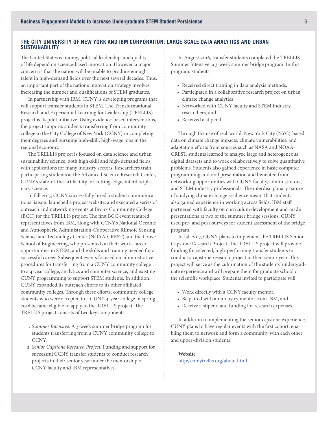## **THE CITY UNIVERSITY OF NEW YORK AND IBM CORPORATION: LARGE-SCALE DATA ANALYTICS AND URBAN SUSTAINABILITY**

The United States economy, political leadership, and quality of life depend on science-based innovation. However, a major concern is that the nation will be unable to produce enough talent in high-demand fields over the next several decades. Thus, an important part of the nation's innovation strategy involves increasing the number and qualifications of STEM graduates.

In partnership with IBM, CUNY is developing programs that will support transfer students in STEM. The Transformational Research and Experiential Learning for Leadership (TRELLIS) project is its pilot initiative. Using evidence-based interventions, the project supports students transferring from community college to the City College of New York (CCNY) in completing their degrees and pursuing high-skill, high-wage jobs in the regional economy.

The TRELLIS project is focused on data science and urban sustainability science, both high-skill and high-demand fields with applications for many industry sectors. Researchers train participating students at the Advanced Science Research Center, CUNY's state-of-the-art facility for cutting-edge, interdisciplinary science.

In fall 2015, CUNY successfully hired a student communications liaison, launched a project website, and executed a series of outreach and networking events at Bronx Community College (BCC) for the TRELLIS project. The first BCC event featured representatives from IBM, along with CCNY's National Oceanic and Atmospheric Administration-Cooperative REmote Sensing Science and Technology Center (NOAA-CREST) and the Grove School of Engineering, who presented on their work, career opportunities in STEM, and the skills and training needed for a successful career. Subsequent events focused on administrative procedures for transferring from a CUNY community college to a 4-year college, analytics and computer science, and existing CUNY programming to support STEM students. In addition, CUNY expanded its outreach efforts to its other affiliated community colleges. Through these efforts, community college students who were accepted to a CUNY 4-year college in spring 2016 became eligible to apply to the TRELLIS project. The TRELLIS project consists of two key components:

- 1. *Summer Intensive.* A 3-week summer bridge program for students transferring from a CUNY community college to CCNY.
- 2. *Senior Capstone Research Project.* Funding and support for successful CCNY transfer students to conduct research projects in their senior year under the mentorship of CCNY faculty and IBM representatives.

In August 2016, transfer students completed the TRELLIS Summer Intensive, a 3-week summer bridge program. In this program, students

- Received direct training in data analysis methods,
- Participated in a collaborative research project on urban climate change analytics,
- Networked with CUNY faculty and STEM industry researchers, and
- Received a stipend.

Through the use of real-world, New York City (NYC)-based data on climate change impacts, climate vulnerabilities, and adaptation efforts from sources such as NASA and NOAA-CREST, students learned to analyze large and heterogeneous digital datasets and to work collaboratively to solve quantitative problems. Students also gained experience in basic computer programming and oral presentation and benefited from networking opportunities with CUNY faculty, administrators, and STEM industry professionals. The interdisciplinary nature of studying climate change resilience meant that students also gained experience in working across fields. IBM staff partnered with faculty on curriculum development and made presentations at two of the summer bridge sessions. CUNY used pre- and post-surveys for student assessment of the bridge program.

In fall 2017, CUNY plans to implement the TRELLIS Senior Capstone Research Project. The TRELLIS project will provide funding for selected, high-performing transfer students to conduct a capstone research project in their senior year. This project will serve as the culmination of the students' undergraduate experience and will prepare them for graduate school or the scientific workplace. Students invited to participate will

- Work directly with a CCNY faculty mentor,
- Be paired with an industry mentor from IBM, and
- Receive a stipend and funding for research expenses.

In addition to implementing the senior capstone experience, CUNY plans to have regular events with the first cohort, enabling them to network and form a community with each other and upper-division students.

**Website** <http://cunytrellis.org/about.html>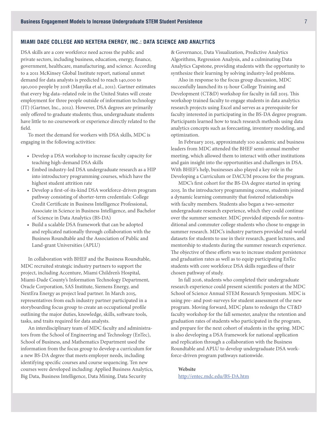#### **MIAMI DADE COLLEGE AND NEXTERA ENERGY, INC.: DATA SCIENCE AND ANALYTICS**

DSA skills are a core workforce need across the public and private sectors, including business, education, energy, finance, government, healthcare, manufacturing, and science. According to a 2011 McKinsey Global Institute report, national unmet demand for data analysts is predicted to reach 140,000 to 190,000 people by 2018 (Manyika et al., 2011). Gartner estimates that every big data–related role in the United States will create employment for three people outside of information technology (IT) (Gartner, Inc., 2012). However, DSA degrees are primarily only offered to graduate students; thus, undergraduate students have little to no coursework or experience directly related to the field.

To meet the demand for workers with DSA skills, MDC is engaging in the following activities:

- Develop a DSA workshop to increase faculty capacity for teaching high-demand DSA skills
- Embed industry‐led DSA undergraduate research as a HIP into introductory programming courses, which have the highest student attrition rate
- Develop a first‐of‐its‐kind DSA workforce‐driven program pathway consisting of shorter‐term credentials: College Credit Certificate in Business Intelligence Professional, Associate in Science in Business Intelligence, and Bachelor of Science in Data Analytics (BS-DA)
- Build a scalable DSA framework that can be adopted and replicated nationally through collaboration with the Business Roundtable and the Association of Public and Land‐grant Universities (APLU)

In collaboration with BHEF and the Business Roundtable, MDC recruited strategic industry partners to support the project, including Accenture, Miami Children's Hospital, Miami-Dade County's Information Technology Department, Oracle Corporation, SAS Institute, Siemens Energy, and NextEra Energy as project lead partner. In March 2015, representatives from each industry partner participated in a storyboarding focus group to create an occupational profile outlining the major duties, knowledge, skills, software tools, tasks, and traits required for data analysts.

An interdisciplinary team of MDC faculty and administrators from the School of Engineering and Technology (EnTec), School of Business, and Mathematics Department used the information from the focus group to develop a curriculum for a new BS-DA degree that meets employer needs, including identifying specific courses and course sequencing. Ten new courses were developed including: Applied Business Analytics, Big Data, Business Intelligence, Data Mining, Data Security

& Governance, Data Visualization, Predictive Analytics Algorithms, Regression Analysis, and a culminating Data Analytics Capstone, providing students with the opportunity to synthesize their learning by solving industry‐led problems.

Also in response to the focus group discussion, MDC successfully launched its 15-hour College Training and Development (CT&D) workshop for faculty in fall 2015. This workshop trained faculty to engage students in data analytics research projects using Excel and serves as a prerequisite for faculty interested in participating in the BS-DA degree program. Participants learned how to teach research methods using data analytics concepts such as forecasting, inventory modeling, and optimization.

In February 2015, approximately 100 academic and business leaders from MDC attended the BHEF semi-annual member meeting, which allowed them to interact with other institutions and gain insight into the opportunities and challenges in DSA. With BHEF's help, businesses also played a key role in the Developing a Curriculum or DACUM process for the program.

MDC's first cohort for the BS-DA degree started in spring 2015. In the introductory programming course, students joined a dynamic learning community that fostered relationships with faculty members. Students also began a two-semester undergraduate research experience, which they could continue over the summer semester. MDC provided stipends for nontraditional and commuter college students who chose to engage in summer research. MDC's industry partners provided real-world datasets for students to use in their research, guest lectures, and mentorship to students during the summer research experience. The objective of these efforts was to increase student persistence and graduation rates as well as to equip participating EnTec students with core workforce DSA skills regardless of their chosen pathway of study.

In fall 2016, students who completed their undergraduate research experience could present scientific posters at the MDC School of Science Annual STEM Research Symposium. MDC is using pre- and post-surveys for student assessment of the new program. Moving forward, MDC plans to redesign the CT&D faculty workshop for the fall semester, analyze the retention and graduation rates of students who participated in the program, and prepare for the next cohort of students in the spring. MDC is also developing a DSA framework for national application and replication through a collaboration with the Business Roundtable and APLU to develop undergraduate DSA workforce-driven program pathways nationwide.

**Website** <http://entec.mdc.edu/BS-DA.htm>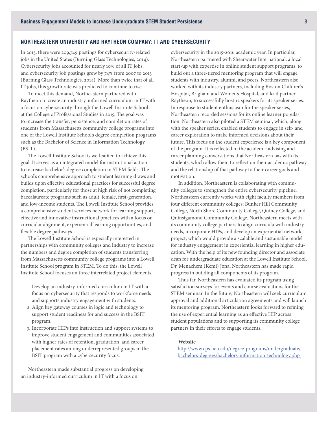#### **NORTHEASTERN UNIVERSITY AND RAYTHEON COMPANY: IT AND CYBERSECURITY**

In 2013, there were 209,749 postings for cybersecurity-related jobs in the United States (Burning Glass Technologies, 2014). Cybersecurity jobs accounted for nearly 10% of all IT jobs, and cybersecurity job postings grew by 74% from 2007 to 2013 (Burning Glass Technologies, 2014). More than twice that of all IT jobs, this growth rate was predicted to continue to rise.

To meet this demand, Northeastern partnered with Raytheon to create an industry-informed curriculum in IT with a focus on cybersecurity through the Lowell Institute School at the College of Professional Studies in 2015. The goal was to increase the transfer, persistence, and completion rates of students from Massachusetts community college programs into one of the Lowell Institute School's degree completion programs such as the Bachelor of Science in Information Technology (BSIT).

The Lowell Institute School is well-suited to achieve this goal. It serves as an integrated model for institutional action to increase bachelor's degree completion in STEM fields. The school's comprehensive approach to student learning draws and builds upon effective educational practices for successful degree completion, particularly for those at high risk of not completing baccalaureate programs such as adult, female, first-generation, and low-income students. The Lowell Institute School provides a comprehensive student services network for learning support, effective and innovative instructional practices with a focus on curricular alignment, experiential learning opportunities, and flexible degree pathways.

The Lowell Institute School is especially interested in partnerships with community colleges and industry to increase the numbers and degree completion of students transferring from Massachusetts community college programs into a Lowell Institute School program in STEM. To do this, the Lowell Institute School focuses on three interrelated project elements.

- 1. Develop an industry-informed curriculum in IT with a focus on cybersecurity that responds to workforce needs and supports industry engagement with students.
- 2. Align key gateway courses in logic and technology to support student readiness for and success in the BSIT program.
- 3. Incorporate HIPs into instruction and support systems to improve student engagement and communities associated with higher rates of retention, graduation, and career placement rates among underrepresented groups in the BSIT program with a cybersecurity focus.

Northeastern made substantial progress on developing an industry-informed curriculum in IT with a focus on

cybersecurity in the 2015-2016 academic year. In particular, Northeastern partnered with Shearwater International, a local start-up with expertise in online student support programs, to build out a three-tiered mentoring program that will engage students with industry, alumni, and peers. Northeastern also worked with its industry partners, including Boston Children's Hospital, Brigham and Women's Hospital, and lead partner Raytheon, to successfully host 12 speakers for its speaker series. In response to student enthusiasm for the speaker series, Northeastern recorded sessions for its online learner population. Northeastern also piloted a STEM seminar, which, along with the speaker series, enabled students to engage in self- and career exploration to make informed decisions about their future. This focus on the student experience is a key component of the program. It is reflected in the academic advising and career planning conversations that Northeastern has with its students, which allow them to reflect on their academic pathway and the relationship of that pathway to their career goals and motivation.

In addition, Northeastern is collaborating with community colleges to strengthen the entire cybersecurity pipeline. Northeastern currently works with eight faculty members from four different community colleges: Bunker Hill Community College, North Shore Community College, Quincy College, and Quinsigamond Community College. Northeastern meets with its community college partners to align curricula with industry needs, incorporate HIPs, and develop an experiential network project, which would provide a scalable and sustainable model for industry engagement in experiential learning in higher education. With the help of its new founding director and associate dean for undergraduate education at the Lowell Institute School, Dr. Menachem (Kemi) Jona, Northeastern has made rapid progress in building all components of its program.

Thus far, Northeastern has evaluated its program using satisfaction surveys for events and course evaluations for the STEM seminar. In the future, Northeastern will seek curriculum approval and additional articulation agreements and will launch its mentoring program. Northeastern looks forward to refining the use of experiential learning as an effective HIP across student populations and to supporting its community college partners in their efforts to engage students.

## **Website**

[http://www.cps.neu.edu/degree-programs/undergraduate/](http://www.cps.neu.edu/degree-programs/undergraduate/bachelors-degrees/bachelors-information-technol) [bachelors-degrees/bachelors-information-technology.php](http://www.cps.neu.edu/degree-programs/undergraduate/bachelors-degrees/bachelors-information-technol)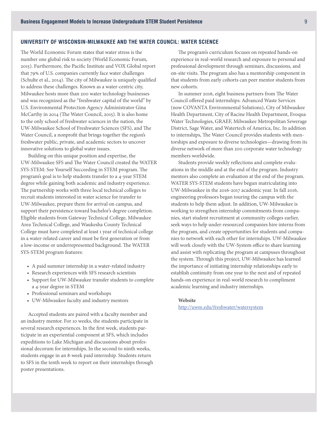#### **UNIVERSITY OF WISCONSIN-MILWAUKEE AND THE WATER COUNCIL: WATER SCIENCE**

The World Economic Forum states that water stress is the number one global risk to society (World Economic Forum, 2015). Furthermore, the Pacific Institute and VOX Global report that 79% of U.S. companies currently face water challenges (Schulte et al., 2014). The city of Milwaukee is uniquely qualified to address these challenges. Known as a water-centric city, Milwaukee hosts more than 200 water technology businesses and was recognized as the "freshwater capital of the world" by U.S. Environmental Protection Agency Administrator Gina McCarthy in 2014 (The Water Council, 2015). It is also home to the only school of freshwater sciences in the nation, the UW-Milwaukee School of Freshwater Sciences (SFS), and The Water Council, a nonprofit that brings together the region's freshwater public, private, and academic sectors to uncover innovative solutions to global water issues.

Building on this unique position and expertise, the UW-Milwaukee SFS and The Water Council created the WATER SYS-STEM: See Yourself Succeeding in STEM program. The program's goal is to help students transfer to a 4-year STEM degree while gaining both academic and industry experience. The partnership works with three local technical colleges to recruit students interested in water science for transfer to UW-Milwaukee, prepare them for arrival on campus, and support their persistence toward bachelor's degree completion. Eligible students from Gateway Technical College, Milwaukee Area Technical College, and Waukesha County Technical College must have completed at least 1 year of technical college in a water-related career and must be first generation or from a low-income or underrepresented background. The WATER SYS-STEM program features:

- A paid summer internship in a water-related industry
- Research experiences with SFS research scientists
- Support for UW-Milwaukee transfer students to complete a 4-year degree in STEM
- Professional seminars and workshops
- UW-Milwaukee faculty and industry mentors

Accepted students are paired with a faculty member and an industry mentor. For 10 weeks, the students participate in several research experiences. In the first week, students participate in an experiential component at SFS, which includes expeditions to Lake Michigan and discussions about professional decorum for internships. In the second to ninth weeks, students engage in an 8-week paid internship. Students return to SFS in the tenth week to report on their internships through poster presentations.

The program's curriculum focuses on repeated hands-on experience in real-world research and exposure to personal and professional development through seminars, discussions, and on-site visits. The program also has a mentorship component in that students from early cohorts can peer mentor students from new cohorts.

In summer 2016, eight business partners from The Water Council offered paid internships: Advanced Waste Services (now COVANTA Environmental Solutions), City of Milwaukee Health Department, City of Racine Health Department, Evoqua Water Technologies, GRAEF, Milwaukee Metropolitan Sewerage District, Sage Water, and Watertech of America, Inc. In addition to internships, The Water Council provides students with mentorships and exposure to diverse technologies—drawing from its diverse network of more than 200 corporate water technology members worldwide.

Students provide weekly reflections and complete evaluations in the middle and at the end of the program. Industry mentors also complete an evaluation at the end of the program. WATER SYS-STEM students have begun matriculating into UW-Milwaukee in the 2016-2017 academic year. In fall 2016, engineering professors began touring the campus with the students to help them adjust. In addition, UW-Milwaukee is working to strengthen internship commitments from companies, start student recruitment at community colleges earlier, seek ways to help under-resourced companies hire interns from the program, and create opportunities for students and companies to network with each other for internships. UW-Milwaukee will work closely with the UW-System office to share learning and assist with replicating the program at campuses throughout the system. Through this project, UW-Milwaukee has learned the importance of initiating internship relationships early to establish continuity from one year to the next and of repeated hands-on experience in real-world research to compliment academic learning and industry internships.

#### **Website**

<http://uwm.edu/freshwater/watersystem>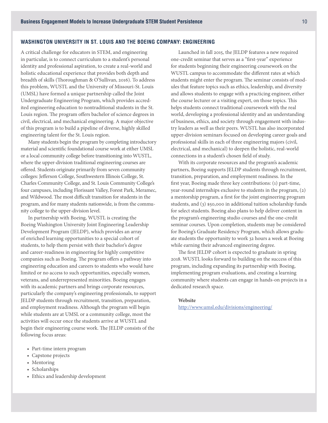## **WASHINGTON UNIVERSITY IN ST. LOUIS AND THE BOEING COMPANY: ENGINEERING**

A critical challenge for educators in STEM, and engineering in particular, is to connect curriculum to a student's personal identity and professional aspiration, to create a real-world and holistic educational experience that provides both depth and breadth of skills (Thoroughman & O'Sullivan, 2016). To address this problem, WUSTL and the University of Missouri-St. Louis (UMSL) have formed a unique partnership called the Joint Undergraduate Engineering Program, which provides accredited engineering education to nontraditional students in the St. Louis region. The program offers bachelor of science degrees in civil, electrical, and mechanical engineering. A major objective of this program is to build a pipeline of diverse, highly skilled engineering talent for the St. Louis region.

Many students begin the program by completing introductory material and scientific foundational course work at either UMSL or a local community college before transitioning into WUSTL, where the upper-division traditional engineering courses are offered. Students originate primarily from seven community colleges: Jefferson College, Southwestern Illinois College, St. Charles Community College, and St. Louis Community College's four campuses, including Florissant Valley, Forest Park, Meramec, and Wildwood. The most difficult transition for students in the program, and for many students nationwide, is from the community college to the upper-division level.

In partnership with Boeing, WUSTL is creating the Boeing Washington University Joint Engineering Leadership Development Program (JELDP), which provides an array of enriched learning opportunities to a special cohort of students, to help them persist with their bachelor's degree and career-readiness in engineering for highly competitive companies such as Boeing. The program offers a pathway into engineering education and careers to students who would have limited or no access to such opportunities, especially women, veterans, and underrepresented minorities. Boeing engages with its academic partners and brings corporate resources, particularly the company's engineering professionals, to support JELDP students through recruitment, transition, preparation, and employment readiness. Although the program will begin while students are at UMSL or a community college, most the activities will occur once the students arrive at WUSTL and begin their engineering course work. The JELDP consists of the following focus areas:

- Part-time intern program
- Capstone projects
- Mentoring
- Scholarships
- Ethics and leadership development

Launched in fall 2015, the JELDP features a new required one-credit seminar that serves as a "first-year" experience for students beginning their engineering coursework on the WUSTL campus to accommodate the different rates at which students might enter the program. The seminar consists of modules that feature topics such as ethics, leadership, and diversity and allows students to engage with a practicing engineer, either the course lecturer or a visiting expert, on those topics. This helps students connect traditional coursework with the real world, developing a professional identity and an understanding of business, ethics, and society through engagement with industry leaders as well as their peers. WUSTL has also incorporated upper-division seminars focused on developing career goals and professional skills in each of three engineering majors (civil, electrical, and mechanical) to deepen the holistic, real-world connections in a student's chosen field of study.

With its corporate resources and the program's academic partners, Boeing supports JELDP students through recruitment, transition, preparation, and employment readiness. In the first year, Boeing made three key contributions: (1) part-time, year-round internships exclusive to students in the program, (2) a mentorship program, a first for the joint engineering program students, and (3) \$50,000 in additional tuition scholarship funds for select students. Boeing also plans to help deliver content in the program's engineering studio courses and the one-credit seminar courses. Upon completion, students may be considered for Boeing's Graduate Residency Program, which allows graduate students the opportunity to work 32 hours a week at Boeing while earning their advanced engineering degree.

The first JELDP cohort is expected to graduate in spring 2018. WUSTL looks forward to building on the success of this program, including expanding its partnership with Boeing, implementing program evaluations, and creating a learning community where students can engage in hands-on projects in a dedicated research space.

#### **Website**

<http://www.umsl.edu/divisions/engineering/>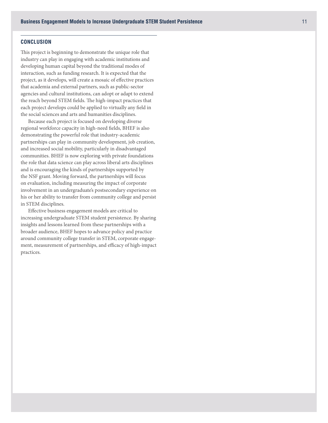#### **CONCLUSION**

This project is beginning to demonstrate the unique role that industry can play in engaging with academic institutions and developing human capital beyond the traditional modes of interaction, such as funding research. It is expected that the project, as it develops, will create a mosaic of effective practices that academia and external partners, such as public-sector agencies and cultural institutions, can adopt or adapt to extend the reach beyond STEM fields. The high-impact practices that each project develops could be applied to virtually any field in the social sciences and arts and humanities disciplines.

Because each project is focused on developing diverse regional workforce capacity in high-need fields, BHEF is also demonstrating the powerful role that industry-academic partnerships can play in community development, job creation, and increased social mobility, particularly in disadvantaged communities. BHEF is now exploring with private foundations the role that data science can play across liberal arts disciplines and is encouraging the kinds of partnerships supported by the NSF grant. Moving forward, the partnerships will focus on evaluation, including measuring the impact of corporate involvement in an undergraduate's postsecondary experience on his or her ability to transfer from community college and persist in STEM disciplines.

Effective business engagement models are critical to increasing undergraduate STEM student persistence. By sharing insights and lessons learned from these partnerships with a broader audience, BHEF hopes to advance policy and practice around community college transfer in STEM, corporate engage ment, measurement of partnerships, and efficacy of high-impact practices.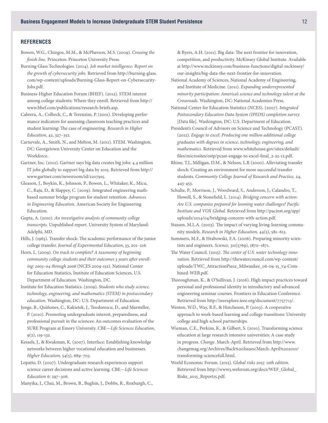## **REFERENCES**

- Bowen, W.G., Chingos, M.M., & McPherson, M.S. (2009). *Crossing the finish line*. Princeton: Princeton University Press.
- Burning Glass Technologies. (2014). *Job market intelligence: Report on the growth of cybersecurity jobs.* Retrieved from http://burning-glass. com/wp-content/uploads/Burning-Glass-Report-on-Cybersecurity-Jobs.pdf.
- Business-Higher Education Forum (BHEF). (2012). STEM interest among college students: Where they enroll. Retrieved from http:// www.bhef.com/publications/research-briefs.asp.
- Cabrera, A., Colbeck, C., & Terenzini, P. (2001). Developing performance indicators for assessing classroom teaching practices and student learning: The case of engineering. *Research in Higher Education*, 42, 327–352.
- Carnevale, A., Smith, N., and Melton, M. (2011). STEM. Washington, DC: Georgetown University Center on Education and the Workforce.
- Gartner, Inc. (2012). Gartner says big data creates big jobs: 4.4 million IT jobs globally to support big data by 2015. Retrieved from http:// www.gartner.com/newsroom/id/2207915.
- Gleason, J., Boykin, K., Johnson, P., Bowen, L., Whitaker, K., Micu, C., Raju, D., & Slappey, C. (2009). Integrated engineering mathbased summer bridge program for student retention. *Advances in Engineering Education,* American Society for Engineering Education.
- Gupta, A. (2010). *An investigative analysis of community college transcripts.* Unpublished report. University System of Maryland: Adelphi, MD.
- Hills, J. (1965). Transfer shock: The academic performance of the junior college transfer. *Journal of Experimental Education*, 33, 201–216.
- Horn, L. (2009). *On track to complete? A taxonomy of beginning community college students and their outcomes 3 years after enrolling: 2003–04 through 2006* (NCES 2009-152). National Center for Education Statistics, Institute of Education Sciences, U.S. Department of Education. Washington, DC.
- Institute for Education Statistics. (2009). *Students who study science, technology, engineering, and mathematics (STEM) in postsecondary education.* Washington, DC: U.S. Department of Education.
- Junge, B., Quiñones, C., Kakietek, J., Teodorescu, D., and Marsteller, P. (2010). Promoting undergraduate interest, preparedness, and professional pursuit in the sciences: An outcomes evaluation of the SURE Program at Emory University. CBE—*Life Sciences Education,*  9(2), 119-132.
- Kessels, J., & Kwakman, K. (2007). Interface: Establishing knowledge networks between higher vocational education and businesses. *Higher Education,* 54(5), 689–703.
- Lopatto, D. (2007). Undergraduate research experiences support science career decisions and active learning. CBE—*Life Sciences Education* 6: 297–306.
- Manyika, J., Chui, M., Brown, B., Bughin, J., Dobbs, R., Roxburgh, C.,

& Byers, A.H. (2011). Big data: The next frontier for innovation, competition, and productivity. McKinsey Global Institute. Available at http://www.mckinsey.com/business-functions/digital-mckinsey/ our-insights/big-data-the-next-frontier-for-innovation.

- National Academy of Sciences, National Academy of Engineering, and Institute of Medicine. (2011). *Expanding underrepresented minority participation: America's science and technology talent at the Crossroads.* Washington, DC: National Academies Press.
- National Center for Education Statistics (NCES). (2007). *Integrated Postsecondary Education Data System (IPEDS) completion survey*  [Data file]. Washington, DC: U.S. Department of Education.
- President's Council of Advisors on Science and Technology (PCAST). (2012). *Engage to excel: Producing one million additional college graduates with degrees in science, technology, engineering, and mathematics.* Retrieved from www.whitehouse.gov/sites/default/ files/microsites/ostp/pcast-engage-to-excel-final\_2-25-12.pdf.
- Rhine, T.J., Milligan, D.M., & Nelson, L.R (2000). Alleviating transfer shock: Creating an environment for more successful transfer students. *Community College Journal of Research and Practice,* 24, 443-453.
- Schulte, P., Morrison, J., Woodward, S., Anderson, J., Calandro, T., Howell, S., & Stonefield, L. (2014). *Bridging concern with action: Are U.S. companies prepared for looming water challenges? Pacific Institute and VOX Global.* Retrieved from http://pacinst.org/app/ uploads/2014/04/bridging-concern-with-action.pdf.
- Stassen, M.L.A. (2003). The impact of varying living-learning community models. *Research in Higher Education,* 44(5), 581–613.
- Summers, M.F., & Hrabowski, F.A. (2006). Preparing minority scientists and engineers. *Science,* 311(5769), 1870–1871.
- The Water Council. (2015). *The center of U.S. water technology innovation.* Retrieved from http://thewatercouncil.com/wp-content/ uploads/TWC\_AttractionPiece\_Milwaukee\_06-09-15\_v4-Combined-WEB.pdf.
- Thoroughman, K., & O'Sullivan, J. (2016). High impact practices toward personal and professional identity in introductory and advanced engineering seminar courses. Frontiers in Education Conference. Retrieved from http://ieeexplore.ieee.org/document/7757713/.
- Weston, W.D., Way, R.F., & Hutcheson, P. (2003). A cooperative approach to work-based learning and college transitions: University college and high school partnerships.
- Wieman, C.E., Perkins, K., & Gilbert, S. (2010). Transforming science education at large research intensive universities: A case study in progress. *Change.* March-April. Retrieved from http://www. changemag.org/Archives/Back%20Issues/March-April%202010/ transforming-sciencefull.html.
- World Economic Forum. (2015). *Global risks 2015: 10th edition.*  Retrieved from http://www3.weforum.org/docs/WEF\_Global\_ Risks\_2015\_Report15.pdf.